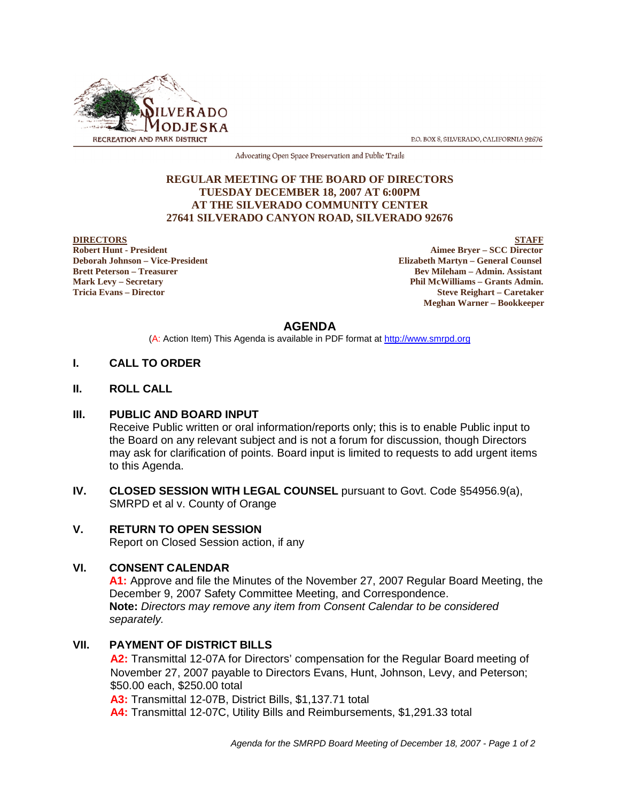

P.O. BOX 8, SILVERADO, CALIFORNIA 92676

Advocating Open Space Preservation and Public Trails

## **REGULAR MEETING OF THE BOARD OF DIRECTORS TUESDAY DECEMBER 18, 2007 AT 6:00PM AT THE SILVERADO COMMUNITY CENTER 27641 SILVERADO CANYON ROAD, SILVERADO 92676**

**DIRECTORS** STAFF **Robert Hunt - President Aimee Bryer – SCC Director Deborah Johnson – Vice-President Elizabeth Martyn – General Counsel Brett Peterson – Treasurer Sexual Assistant** Bev Mileham – Admin. Assistant **Mark Levy – Secretary Phil McWilliams – Grants Admin. Tricia Evans – Director Steve Reighart – Caretaker Meghan Warner – Bookkeeper**

# **AGENDA**

(A: Action Item) This Agenda is available in PDF format at http://www.smrpd.org

# **I. CALL TO ORDER**

**II. ROLL CALL**

## **III. PUBLIC AND BOARD INPUT**

Receive Public written or oral information/reports only; this is to enable Public input to the Board on any relevant subject and is not a forum for discussion, though Directors may ask for clarification of points. Board input is limited to requests to add urgent items to this Agenda.

**IV. CLOSED SESSION WITH LEGAL COUNSEL** pursuant to Govt. Code §54956.9(a), SMRPD et al v. County of Orange

# **V. RETURN TO OPEN SESSION**

Report on Closed Session action, if any

# **VI. CONSENT CALENDAR**

**A1:** Approve and file the Minutes of the November 27, 2007 Regular Board Meeting, the December 9, 2007 Safety Committee Meeting, and Correspondence. **Note:** *Directors may remove any item from Consent Calendar to be considered separately.*

## **VII. PAYMENT OF DISTRICT BILLS**

**A2:** Transmittal 12-07A for Directors' compensation for the Regular Board meeting of November 27, 2007 payable to Directors Evans, Hunt, Johnson, Levy, and Peterson; \$50.00 each, \$250.00 total

**A3:** Transmittal 12-07B, District Bills, \$1,137.71 total

**A4:** Transmittal 12-07C, Utility Bills and Reimbursements, \$1,291.33 total